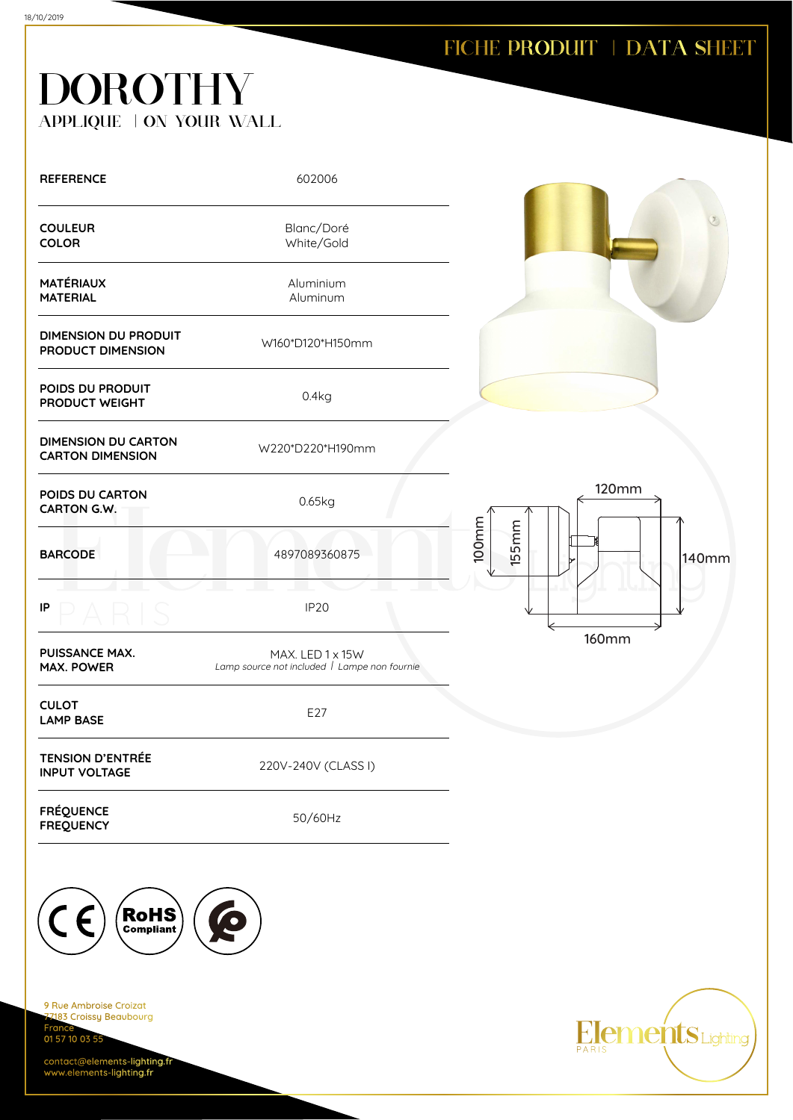## FICHE PRODUIT | DATA SHEET

## **DOROTHY** APPLIQUE | ON YOUR WALL

| <b>REFERENCE</b>                                      | 602006                                                           |                                       |
|-------------------------------------------------------|------------------------------------------------------------------|---------------------------------------|
| <b>COULEUR</b><br><b>COLOR</b>                        | Blanc/Doré<br>White/Gold                                         |                                       |
| <b>MATÉRIAUX</b><br><b>MATERIAL</b>                   | Aluminium<br>Aluminum                                            |                                       |
| <b>DIMENSION DU PRODUIT</b><br>PRODUCT DIMENSION      | W160*D120*H150mm                                                 |                                       |
| POIDS DU PRODUIT<br>PRODUCT WEIGHT                    | 0.4kg                                                            |                                       |
| <b>DIMENSION DU CARTON</b><br><b>CARTON DIMENSION</b> | W220*D220*H190mm                                                 |                                       |
| POIDS DU CARTON<br><b>CARTON G.W.</b>                 | 0.65kg                                                           | <b>120mm</b>                          |
| <b>BARCODE</b>                                        | 4897089360875                                                    | 100mm<br><b>155mm</b><br><b>140mm</b> |
| IP                                                    | <b>IP20</b>                                                      |                                       |
| <b>PUISSANCE MAX.</b><br><b>MAX. POWER</b>            | MAX. LED 1 x 15W<br>Lamp source not included   Lampe non fournie | <b>160mm</b>                          |
| <b>CULOT</b><br><b>LAMP BASE</b>                      | E27                                                              |                                       |
| <b>TENSION D'ENTRÉE</b><br><b>INPUT VOLTAGE</b>       | 220V-240V (CLASS I)                                              |                                       |
| <b>FRÉQUENCE</b><br><b>FREQUENCY</b>                  | 50/60Hz                                                          |                                       |



9 Rue Ambroise Croizat 2183 Croissy Beaubourg Fran 01 57 10 03 55

contact@elements-lighting.fr www.elements-lighting.fr